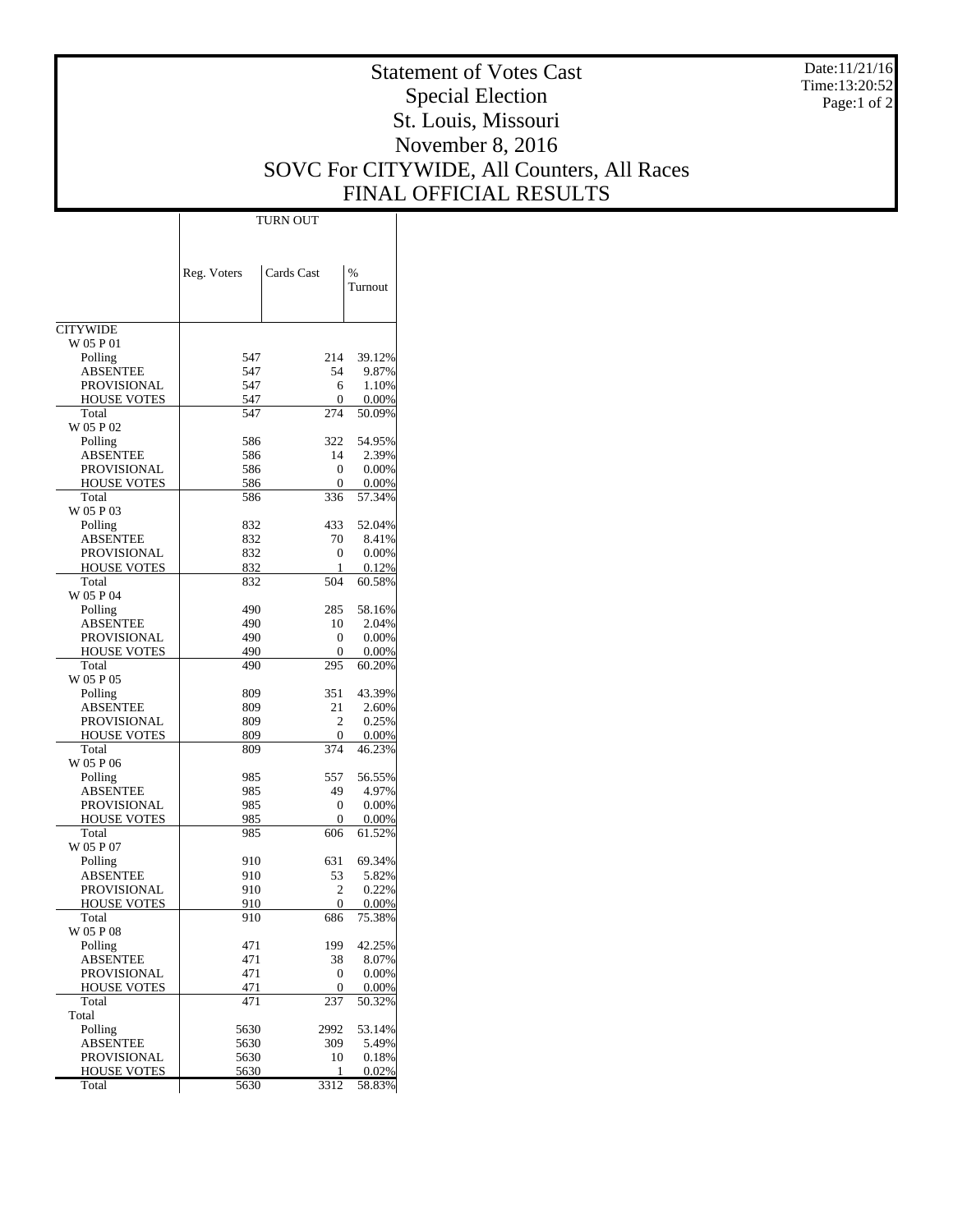Date:11/21/16 Time:13:20:52 Page:1 of 2

## Statement of Votes Cast Special Election St. Louis, Missouri November 8, 2016 SOVC For CITYWIDE, All Counters, All Races FINAL OFFICIAL RESULTS

|                                          | Reg. Voters | Cards Cast     | $\frac{0}{0}$<br>Turnout |
|------------------------------------------|-------------|----------------|--------------------------|
| <b>CITYWIDE</b>                          |             |                |                          |
| W 05 P 01                                |             |                |                          |
| Polling                                  | 547         | 214            | 39.12%                   |
| <b>ABSENTEE</b>                          | 547         | 54             | 9.87%                    |
| <b>PROVISIONAL</b><br><b>HOUSE VOTES</b> | 547<br>547  | 6<br>0         | 1.10%<br>0.00%           |
| Total                                    | 547         | 274            | 50.09%                   |
| W 05 P 02                                |             |                |                          |
| Polling                                  | 586         | 322            | 54.95%                   |
| <b>ABSENTEE</b>                          | 586         | 14             | 2.39%                    |
| PROVISIONAL                              | 586         | 0              | 0.00%                    |
| <b>HOUSE VOTES</b>                       | 586         | 0              | 0.00%                    |
| Total                                    | 586         | 336            | 57.34%                   |
| W 05 P 03                                |             |                |                          |
| Polling                                  | 832         | 433            | 52.04%                   |
| <b>ABSENTEE</b><br>PROVISIONAL           | 832<br>832  | 70<br>0        | 8.41%<br>0.00%           |
| <b>HOUSE VOTES</b>                       | 832         | 1              | 0.12%                    |
| Total                                    | 832         | 504            | 60.58%                   |
| W 05 P 04                                |             |                |                          |
| Polling                                  | 490         | 285            | 58.16%                   |
| ABSENTEE                                 | 490         | 10             | 2.04%                    |
| PROVISIONAL                              | 490         | 0              | 0.00%                    |
| <b>HOUSE VOTES</b>                       | 490         | 0              | 0.00%                    |
| Total                                    | 490         | 295            | 60.20%                   |
| W 05 P 05                                |             |                |                          |
| Polling<br><b>ABSENTEE</b>               | 809<br>809  | 351<br>21      | 43.39%<br>2.60%          |
| PROVISIONAL                              | 809         | $\overline{c}$ | 0.25%                    |
| <b>HOUSE VOTES</b>                       | 809         | 0              | 0.00%                    |
| Total                                    | 809         | 374            | 46.23%                   |
| W 05 P 06                                |             |                |                          |
| Polling                                  | 985         | 557            | 56.55%                   |
| <b>ABSENTEE</b>                          | 985         | 49             | 4.97%                    |
| PROVISIONAL                              | 985         | 0              | 0.00%                    |
| <b>HOUSE VOTES</b>                       | 985<br>985  | 0              | 0.00%                    |
| Total<br>W 05 P 07                       |             | 606            | 61.52%                   |
| Polling                                  | 910         | 631            | 69.34%                   |
| <b>ABSENTEE</b>                          | 910         | 53             | 5.82%                    |
| <b>PROVISIONAL</b>                       | 910         | 2              | 0.22%                    |
| <b>HOUSE VOTES</b>                       | 910         | 0              | 0.00%                    |
| Total                                    | 910         | 686            | 75.38%                   |
| W 05 P 08                                |             |                |                          |
| Polling                                  | 471         | 199            | 42.25%                   |
| <b>ABSENTEE</b>                          | 471         | 38             | 8.07%                    |
| PROVISIONAL<br><b>HOUSE VOTES</b>        | 471<br>471  | 0<br>0         | 0.00%<br>0.00%           |
| Total                                    | 471         | 237            | 50.32%                   |
| Total                                    |             |                |                          |
| Polling                                  | 5630        | 2992           | 53.14%                   |
| <b>ABSENTEE</b>                          | 5630        | 309            | 5.49%                    |
| PROVISIONAL                              | 5630        | 10             | 0.18%                    |
| <b>HOUSE VOTES</b>                       | 5630        | 1              | 0.02%                    |
| Total                                    | 5630        | 3312           | 58.83%                   |

TURN OUT

 $\mathbf{I}$